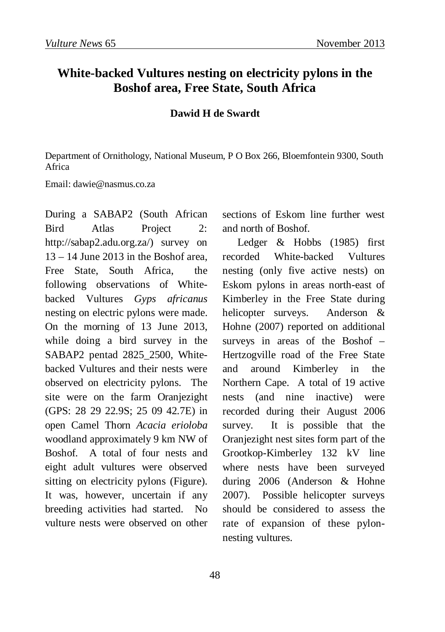## **White-backed Vultures nesting on electricity pylons in the Boshof area, Free State, South Africa**

## **Dawid H de Swardt**

Department of Ornithology, National Museum, P O Box 266, Bloemfontein 9300, South Africa

Email: dawie@nasmus.co.za

During a SABAP2 (South African Bird Atlas Project 2: http://sabap2.adu.org.za/) survey on  $13 - 14$  June 2013 in the Boshof area Free State, South Africa, the following observations of Whitebacked Vultures *Gyps africanus* nesting on electric pylons were made. On the morning of 13 June 2013, while doing a bird survey in the SABAP2 pentad 2825\_2500, Whitebacked Vultures and their nests were observed on electricity pylons. The site were on the farm Oranjezight (GPS: 28 29 22.9S; 25 09 42.7E) in open Camel Thorn *Acacia erioloba* woodland approximately 9 km NW of Boshof. A total of four nests and eight adult vultures were observed sitting on electricity pylons (Figure). It was, however, uncertain if any breeding activities had started. No vulture nests were observed on other

sections of Eskom line further west and north of Boshof.

Ledger & Hobbs (1985) first recorded White-backed Vultures nesting (only five active nests) on Eskom pylons in areas north-east of Kimberley in the Free State during helicopter surveys. Anderson & Hohne (2007) reported on additional surveys in areas of the Boshof – Hertzogville road of the Free State and around Kimberley in the Northern Cape. A total of 19 active nests (and nine inactive) were recorded during their August 2006 survey. It is possible that the Oranjezight nest sites form part of the Grootkop-Kimberley 132 kV line where nests have been surveyed during 2006 (Anderson & Hohne 2007). Possible helicopter surveys should be considered to assess the rate of expansion of these pylonnesting vultures.